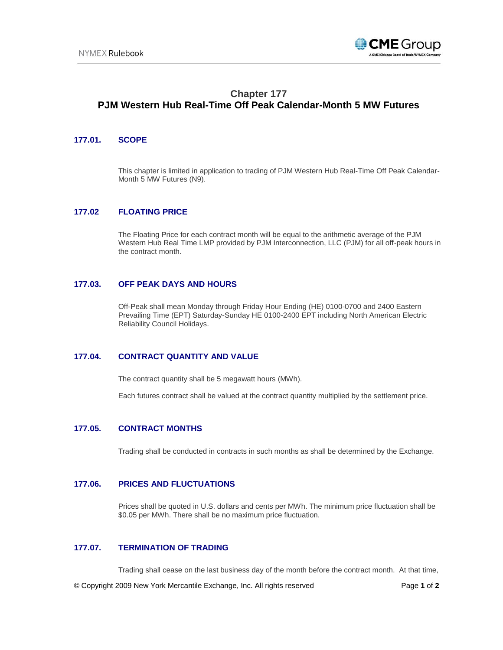

# **Chapter 177 PJM Western Hub Real-Time Off Peak Calendar-Month 5 MW Futures**

#### **177.01. SCOPE**

This chapter is limited in application to trading of PJM Western Hub Real-Time Off Peak Calendar-Month 5 MW Futures (N9).

# **177.02 FLOATING PRICE**

The Floating Price for each contract month will be equal to the arithmetic average of the PJM Western Hub Real Time LMP provided by PJM Interconnection, LLC (PJM) for all off-peak hours in the contract month.

#### **177.03. OFF PEAK DAYS AND HOURS**

Off-Peak shall mean Monday through Friday Hour Ending (HE) 0100-0700 and 2400 Eastern Prevailing Time (EPT) Saturday-Sunday HE 0100-2400 EPT including North American Electric Reliability Council Holidays.

# **177.04. CONTRACT QUANTITY AND VALUE**

The contract quantity shall be 5 megawatt hours (MWh).

Each futures contract shall be valued at the contract quantity multiplied by the settlement price.

#### **177.05. CONTRACT MONTHS**

Trading shall be conducted in contracts in such months as shall be determined by the Exchange.

## **177.06. PRICES AND FLUCTUATIONS**

Prices shall be quoted in U.S. dollars and cents per MWh. The minimum price fluctuation shall be \$0.05 per MWh. There shall be no maximum price fluctuation.

# **177.07. TERMINATION OF TRADING**

Trading shall cease on the last business day of the month before the contract month. At that time,

© Copyright 2009 New York Mercantile Exchange, Inc. All rights reserved Page **1** of **2**